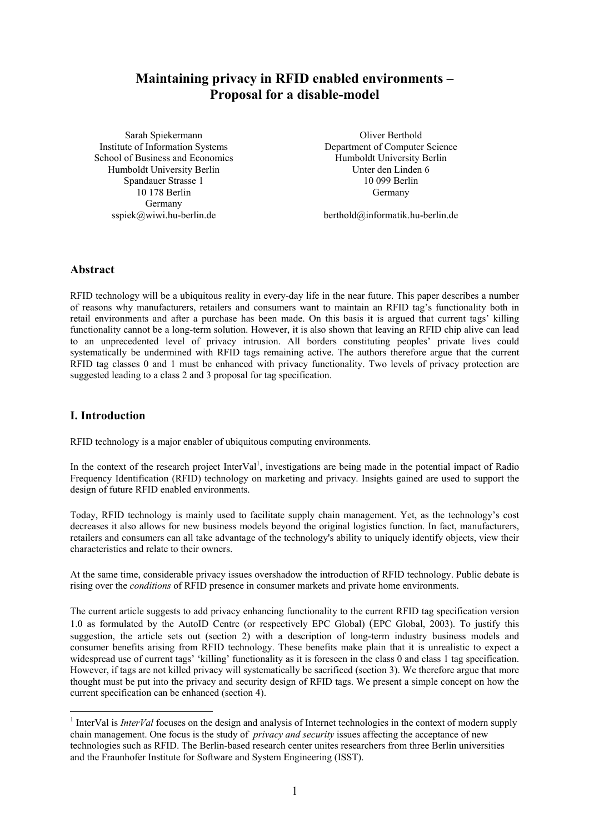# **Maintaining privacy in RFID enabled environments – Proposal for a disable-model**

Sarah Spiekermann Institute of Information Systems School of Business and Economics Humboldt University Berlin Spandauer Strasse 1 10 178 Berlin Germany sspiek@wiwi.hu-berlin.de

Oliver Berthold Department of Computer Science Humboldt University Berlin Unter den Linden 6 10 099 Berlin Germany

berthold@informatik.hu-berlin.de

### **Abstract**

RFID technology will be a ubiquitous reality in every-day life in the near future. This paper describes a number of reasons why manufacturers, retailers and consumers want to maintain an RFID tag's functionality both in retail environments and after a purchase has been made. On this basis it is argued that current tags' killing functionality cannot be a long-term solution. However, it is also shown that leaving an RFID chip alive can lead to an unprecedented level of privacy intrusion. All borders constituting peoples' private lives could systematically be undermined with RFID tags remaining active. The authors therefore argue that the current RFID tag classes 0 and 1 must be enhanced with privacy functionality. Two levels of privacy protection are suggested leading to a class 2 and 3 proposal for tag specification.

# **I. Introduction**

 $\overline{a}$ 

RFID technology is a major enabler of ubiquitous computing environments.

In the context of the research project InterVal<sup>1</sup>, investigations are being made in the potential impact of Radio Frequency Identification (RFID) technology on marketing and privacy. Insights gained are used to support the design of future RFID enabled environments.

Today, RFID technology is mainly used to facilitate supply chain management. Yet, as the technology's cost decreases it also allows for new business models beyond the original logistics function. In fact, manufacturers, retailers and consumers can all take advantage of the technology's ability to uniquely identify objects, view their characteristics and relate to their owners.

At the same time, considerable privacy issues overshadow the introduction of RFID technology. Public debate is rising over the *conditions* of RFID presence in consumer markets and private home environments.

The current article suggests to add privacy enhancing functionality to the current RFID tag specification version 1.0 as formulated by the AutoID Centre (or respectively EPC Global) (EPC Global, 2003). To justify this suggestion, the article sets out (section 2) with a description of long-term industry business models and consumer benefits arising from RFID technology. These benefits make plain that it is unrealistic to expect a widespread use of current tags' 'killing' functionality as it is foreseen in the class 0 and class 1 tag specification. However, if tags are not killed privacy will systematically be sacrificed (section 3). We therefore argue that more thought must be put into the privacy and security design of RFID tags. We present a simple concept on how the current specification can be enhanced (section 4).

<sup>&</sup>lt;sup>1</sup> InterVal is *InterVal* focuses on the design and analysis of Internet technologies in the context of modern supply chain management. One focus is the study of *privacy and security* issues affecting the acceptance of new technologies such as RFID. The Berlin-based research center unites researchers from three Berlin universities and the Fraunhofer Institute for Software and System Engineering (ISST).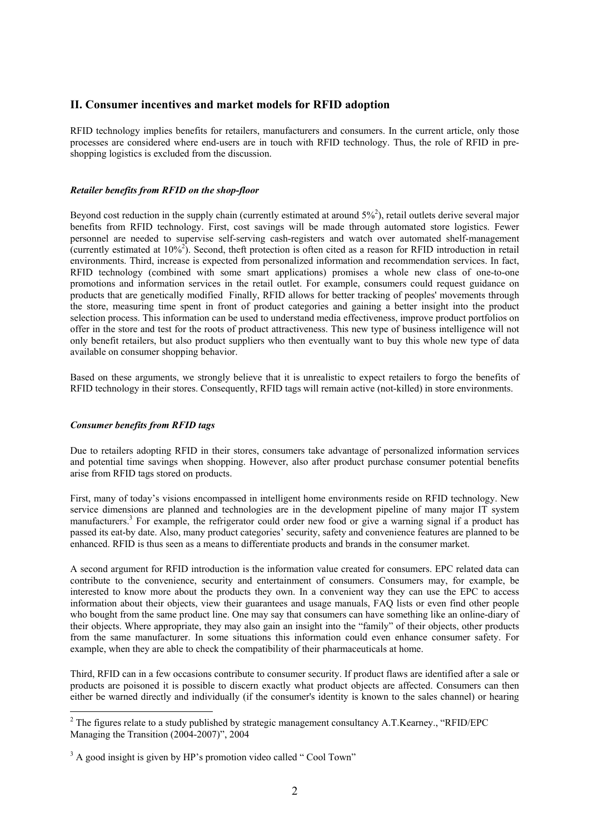## **II. Consumer incentives and market models for RFID adoption**

RFID technology implies benefits for retailers, manufacturers and consumers. In the current article, only those processes are considered where end-users are in touch with RFID technology. Thus, the role of RFID in preshopping logistics is excluded from the discussion.

#### *Retailer benefits from RFID on the shop-floor*

Beyond cost reduction in the supply chain (currently estimated at around  $5\%$ <sup>2</sup>), retail outlets derive several major benefits from RFID technology. First, cost savings will be made through automated store logistics. Fewer personnel are needed to supervise self-serving cash-registers and watch over automated shelf-management (currently estimated at  $10\%^2$ ). Second, theft protection is often cited as a reason for RFID introduction in retail environments. Third, increase is expected from personalized information and recommendation services. In fact, RFID technology (combined with some smart applications) promises a whole new class of one-to-one promotions and information services in the retail outlet. For example, consumers could request guidance on products that are genetically modified Finally, RFID allows for better tracking of peoples' movements through the store, measuring time spent in front of product categories and gaining a better insight into the product selection process. This information can be used to understand media effectiveness, improve product portfolios on offer in the store and test for the roots of product attractiveness. This new type of business intelligence will not only benefit retailers, but also product suppliers who then eventually want to buy this whole new type of data available on consumer shopping behavior.

Based on these arguments, we strongly believe that it is unrealistic to expect retailers to forgo the benefits of RFID technology in their stores. Consequently, RFID tags will remain active (not-killed) in store environments.

#### *Consumer benefits from RFID tags*

 $\overline{a}$ 

Due to retailers adopting RFID in their stores, consumers take advantage of personalized information services and potential time savings when shopping. However, also after product purchase consumer potential benefits arise from RFID tags stored on products.

First, many of today's visions encompassed in intelligent home environments reside on RFID technology. New service dimensions are planned and technologies are in the development pipeline of many major IT system manufacturers.<sup>3</sup> For example, the refrigerator could order new food or give a warning signal if a product has passed its eat-by date. Also, many product categories' security, safety and convenience features are planned to be enhanced. RFID is thus seen as a means to differentiate products and brands in the consumer market.

A second argument for RFID introduction is the information value created for consumers. EPC related data can contribute to the convenience, security and entertainment of consumers. Consumers may, for example, be interested to know more about the products they own. In a convenient way they can use the EPC to access information about their objects, view their guarantees and usage manuals, FAQ lists or even find other people who bought from the same product line. One may say that consumers can have something like an online-diary of their objects. Where appropriate, they may also gain an insight into the "family" of their objects, other products from the same manufacturer. In some situations this information could even enhance consumer safety. For example, when they are able to check the compatibility of their pharmaceuticals at home.

Third, RFID can in a few occasions contribute to consumer security. If product flaws are identified after a sale or products are poisoned it is possible to discern exactly what product objects are affected. Consumers can then either be warned directly and individually (if the consumer's identity is known to the sales channel) or hearing

 $2^2$  The figures relate to a study published by strategic management consultancy A.T.Kearney., "RFID/EPC Managing the Transition (2004-2007)", 2004

<sup>&</sup>lt;sup>3</sup> A good insight is given by HP's promotion video called "Cool Town"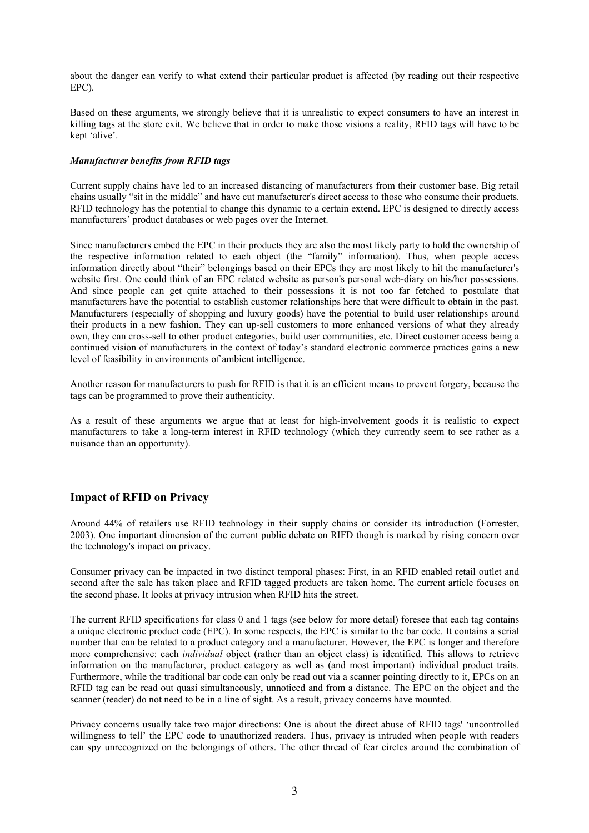about the danger can verify to what extend their particular product is affected (by reading out their respective EPC).

Based on these arguments, we strongly believe that it is unrealistic to expect consumers to have an interest in killing tags at the store exit. We believe that in order to make those visions a reality, RFID tags will have to be kept 'alive'.

#### *Manufacturer benefits from RFID tags*

Current supply chains have led to an increased distancing of manufacturers from their customer base. Big retail chains usually "sit in the middle" and have cut manufacturer's direct access to those who consume their products. RFID technology has the potential to change this dynamic to a certain extend. EPC is designed to directly access manufacturers' product databases or web pages over the Internet.

Since manufacturers embed the EPC in their products they are also the most likely party to hold the ownership of the respective information related to each object (the "family" information). Thus, when people access information directly about "their" belongings based on their EPCs they are most likely to hit the manufacturer's website first. One could think of an EPC related website as person's personal web-diary on his/her possessions. And since people can get quite attached to their possessions it is not too far fetched to postulate that manufacturers have the potential to establish customer relationships here that were difficult to obtain in the past. Manufacturers (especially of shopping and luxury goods) have the potential to build user relationships around their products in a new fashion. They can up-sell customers to more enhanced versions of what they already own, they can cross-sell to other product categories, build user communities, etc. Direct customer access being a continued vision of manufacturers in the context of today's standard electronic commerce practices gains a new level of feasibility in environments of ambient intelligence.

Another reason for manufacturers to push for RFID is that it is an efficient means to prevent forgery, because the tags can be programmed to prove their authenticity.

As a result of these arguments we argue that at least for high-involvement goods it is realistic to expect manufacturers to take a long-term interest in RFID technology (which they currently seem to see rather as a nuisance than an opportunity).

### **Impact of RFID on Privacy**

Around 44% of retailers use RFID technology in their supply chains or consider its introduction (Forrester, 2003). One important dimension of the current public debate on RIFD though is marked by rising concern over the technology's impact on privacy.

Consumer privacy can be impacted in two distinct temporal phases: First, in an RFID enabled retail outlet and second after the sale has taken place and RFID tagged products are taken home. The current article focuses on the second phase. It looks at privacy intrusion when RFID hits the street.

The current RFID specifications for class 0 and 1 tags (see below for more detail) foresee that each tag contains a unique electronic product code (EPC). In some respects, the EPC is similar to the bar code. It contains a serial number that can be related to a product category and a manufacturer. However, the EPC is longer and therefore more comprehensive: each *individual* object (rather than an object class) is identified. This allows to retrieve information on the manufacturer, product category as well as (and most important) individual product traits. Furthermore, while the traditional bar code can only be read out via a scanner pointing directly to it, EPCs on an RFID tag can be read out quasi simultaneously, unnoticed and from a distance. The EPC on the object and the scanner (reader) do not need to be in a line of sight. As a result, privacy concerns have mounted.

Privacy concerns usually take two major directions: One is about the direct abuse of RFID tags' 'uncontrolled willingness to tell' the EPC code to unauthorized readers. Thus, privacy is intruded when people with readers can spy unrecognized on the belongings of others. The other thread of fear circles around the combination of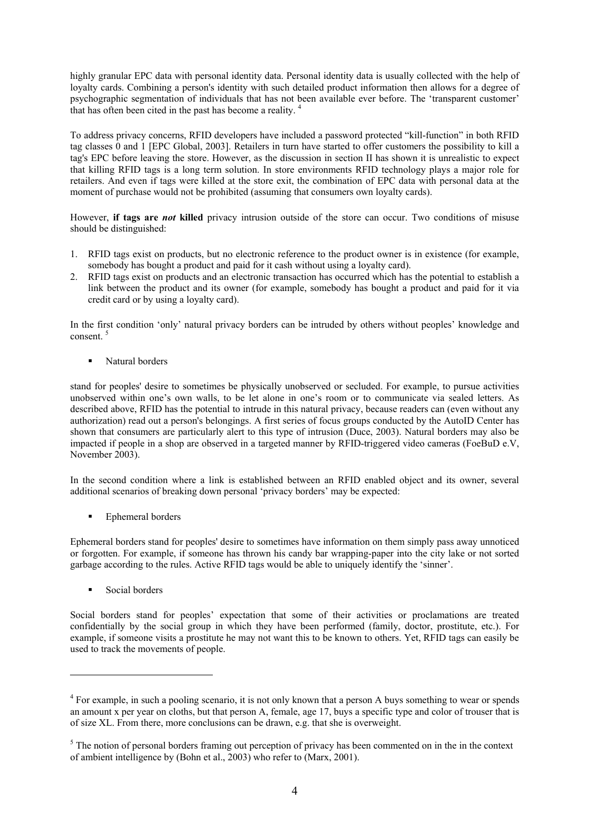highly granular EPC data with personal identity data. Personal identity data is usually collected with the help of loyalty cards. Combining a person's identity with such detailed product information then allows for a degree of psychographic segmentation of individuals that has not been available ever before. The 'transparent customer' that has often been cited in the past has become a reality. 4

To address privacy concerns, RFID developers have included a password protected "kill-function" in both RFID tag classes 0 and 1 [EPC Global, 2003]. Retailers in turn have started to offer customers the possibility to kill a tag's EPC before leaving the store. However, as the discussion in section II has shown it is unrealistic to expect that killing RFID tags is a long term solution. In store environments RFID technology plays a major role for retailers. And even if tags were killed at the store exit, the combination of EPC data with personal data at the moment of purchase would not be prohibited (assuming that consumers own loyalty cards).

However, **if tags are** *not* **killed** privacy intrusion outside of the store can occur. Two conditions of misuse should be distinguished:

- 1. RFID tags exist on products, but no electronic reference to the product owner is in existence (for example, somebody has bought a product and paid for it cash without using a loyalty card).
- 2. RFID tags exist on products and an electronic transaction has occurred which has the potential to establish a link between the product and its owner (for example, somebody has bought a product and paid for it via credit card or by using a loyalty card).

In the first condition 'only' natural privacy borders can be intruded by others without peoples' knowledge and consent.<sup>5</sup>

Natural borders

stand for peoples' desire to sometimes be physically unobserved or secluded. For example, to pursue activities unobserved within one's own walls, to be let alone in one's room or to communicate via sealed letters. As described above, RFID has the potential to intrude in this natural privacy, because readers can (even without any authorization) read out a person's belongings. A first series of focus groups conducted by the AutoID Center has shown that consumers are particularly alert to this type of intrusion (Duce, 2003). Natural borders may also be impacted if people in a shop are observed in a targeted manner by RFID-triggered video cameras (FoeBuD e.V, November 2003).

In the second condition where a link is established between an RFID enabled object and its owner, several additional scenarios of breaking down personal 'privacy borders' may be expected:

Ephemeral borders

Ephemeral borders stand for peoples' desire to sometimes have information on them simply pass away unnoticed or forgotten. For example, if someone has thrown his candy bar wrapping-paper into the city lake or not sorted garbage according to the rules. Active RFID tags would be able to uniquely identify the 'sinner'.

**Social borders** 

 $\overline{a}$ 

Social borders stand for peoples' expectation that some of their activities or proclamations are treated confidentially by the social group in which they have been performed (family, doctor, prostitute, etc.). For example, if someone visits a prostitute he may not want this to be known to others. Yet, RFID tags can easily be used to track the movements of people.

<sup>&</sup>lt;sup>4</sup> For example, in such a pooling scenario, it is not only known that a person A buys something to wear or spends an amount x per year on cloths, but that person A, female, age 17, buys a specific type and color of trouser that is of size XL. From there, more conclusions can be drawn, e.g. that she is overweight.

 $<sup>5</sup>$  The notion of personal borders framing out perception of privacy has been commented on in the in the context</sup> of ambient intelligence by (Bohn et al., 2003) who refer to (Marx, 2001).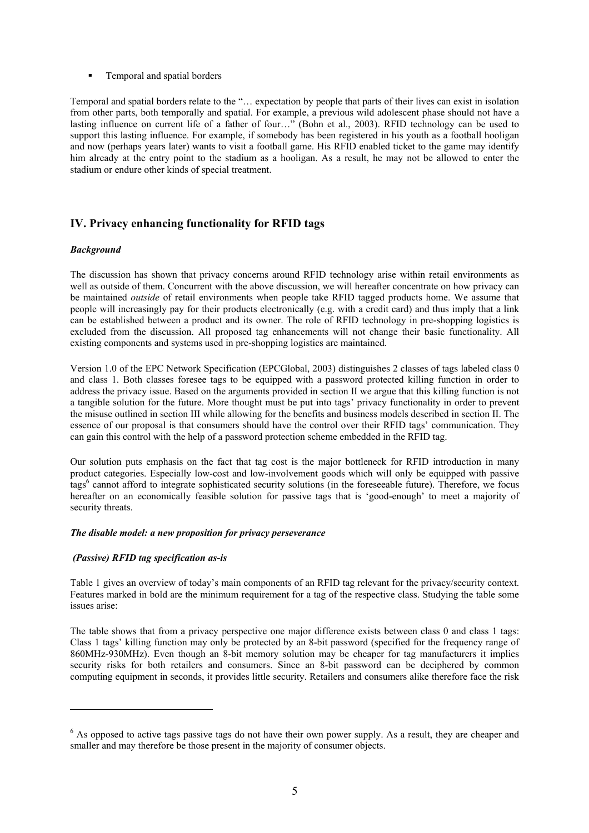**Temporal and spatial borders** 

Temporal and spatial borders relate to the "… expectation by people that parts of their lives can exist in isolation from other parts, both temporally and spatial. For example, a previous wild adolescent phase should not have a lasting influence on current life of a father of four…" (Bohn et al., 2003). RFID technology can be used to support this lasting influence. For example, if somebody has been registered in his youth as a football hooligan and now (perhaps years later) wants to visit a football game. His RFID enabled ticket to the game may identify him already at the entry point to the stadium as a hooligan. As a result, he may not be allowed to enter the stadium or endure other kinds of special treatment.

# **IV. Privacy enhancing functionality for RFID tags**

#### *Background*

The discussion has shown that privacy concerns around RFID technology arise within retail environments as well as outside of them. Concurrent with the above discussion, we will hereafter concentrate on how privacy can be maintained *outside* of retail environments when people take RFID tagged products home. We assume that people will increasingly pay for their products electronically (e.g. with a credit card) and thus imply that a link can be established between a product and its owner. The role of RFID technology in pre-shopping logistics is excluded from the discussion. All proposed tag enhancements will not change their basic functionality. All existing components and systems used in pre-shopping logistics are maintained.

Version 1.0 of the EPC Network Specification (EPCGlobal, 2003) distinguishes 2 classes of tags labeled class 0 and class 1. Both classes foresee tags to be equipped with a password protected killing function in order to address the privacy issue. Based on the arguments provided in section II we argue that this killing function is not a tangible solution for the future. More thought must be put into tags' privacy functionality in order to prevent the misuse outlined in section III while allowing for the benefits and business models described in section II. The essence of our proposal is that consumers should have the control over their RFID tags' communication. They can gain this control with the help of a password protection scheme embedded in the RFID tag.

Our solution puts emphasis on the fact that tag cost is the major bottleneck for RFID introduction in many product categories. Especially low-cost and low-involvement goods which will only be equipped with passive tags<sup>6</sup> cannot afford to integrate sophisticated security solutions (in the foreseeable future). Therefore, we focus hereafter on an economically feasible solution for passive tags that is 'good-enough' to meet a majority of security threats.

#### *The disable model: a new proposition for privacy perseverance*

### *(Passive) RFID tag specification as-is*

 $\overline{a}$ 

Table 1 gives an overview of today's main components of an RFID tag relevant for the privacy/security context. Features marked in bold are the minimum requirement for a tag of the respective class. Studying the table some issues arise:

The table shows that from a privacy perspective one major difference exists between class 0 and class 1 tags: Class 1 tags' killing function may only be protected by an 8-bit password (specified for the frequency range of 860MHz-930MHz). Even though an 8-bit memory solution may be cheaper for tag manufacturers it implies security risks for both retailers and consumers. Since an 8-bit password can be deciphered by common computing equipment in seconds, it provides little security. Retailers and consumers alike therefore face the risk

<sup>&</sup>lt;sup>6</sup> As opposed to active tags passive tags do not have their own power supply. As a result, they are cheaper and smaller and may therefore be those present in the majority of consumer objects.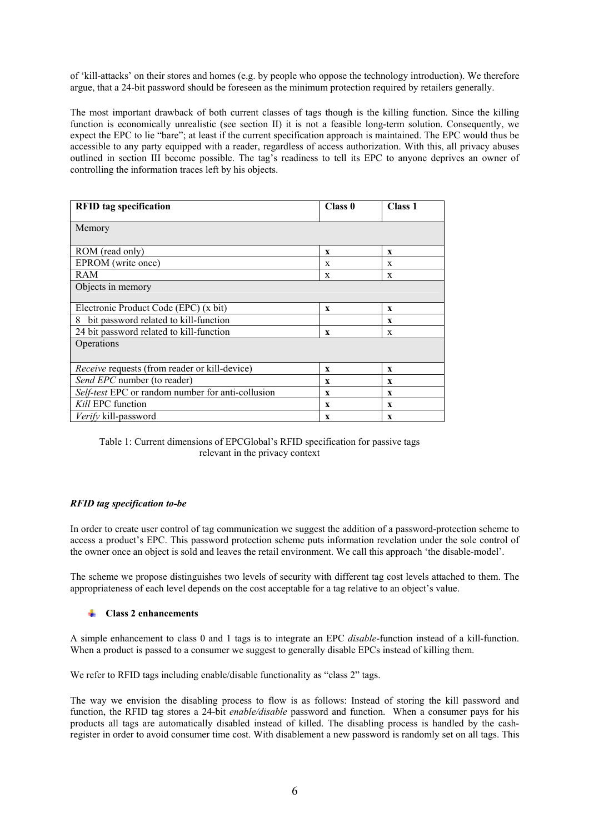of 'kill-attacks' on their stores and homes (e.g. by people who oppose the technology introduction). We therefore argue, that a 24-bit password should be foreseen as the minimum protection required by retailers generally.

The most important drawback of both current classes of tags though is the killing function. Since the killing function is economically unrealistic (see section II) it is not a feasible long-term solution. Consequently, we expect the EPC to lie "bare"; at least if the current specification approach is maintained. The EPC would thus be accessible to any party equipped with a reader, regardless of access authorization. With this, all privacy abuses outlined in section III become possible. The tag's readiness to tell its EPC to anyone deprives an owner of controlling the information traces left by his objects.

| <b>RFID</b> tag specification                        | Class 0      | <b>Class 1</b> |  |  |  |  |
|------------------------------------------------------|--------------|----------------|--|--|--|--|
| Memory                                               |              |                |  |  |  |  |
| ROM (read only)                                      | $\mathbf x$  | $\mathbf{x}$   |  |  |  |  |
| EPROM (write once)                                   | X            | X              |  |  |  |  |
| RAM                                                  | X            | X              |  |  |  |  |
| Objects in memory                                    |              |                |  |  |  |  |
| Electronic Product Code (EPC) (x bit)                | $\mathbf x$  | $\mathbf{x}$   |  |  |  |  |
| bit password related to kill-function<br>8           |              | X              |  |  |  |  |
| 24 bit password related to kill-function             | $\mathbf{x}$ | X              |  |  |  |  |
| Operations                                           |              |                |  |  |  |  |
| <i>Receive</i> requests (from reader or kill-device) | $\mathbf x$  | X              |  |  |  |  |
| Send EPC number (to reader)                          | X            | X              |  |  |  |  |
| Self-test EPC or random number for anti-collusion    | $\mathbf x$  | X              |  |  |  |  |
| Kill EPC function                                    | $\mathbf x$  | X              |  |  |  |  |
| <i>Verify</i> kill-password                          | $\mathbf x$  | X              |  |  |  |  |

Table 1: Current dimensions of EPCGlobal's RFID specification for passive tags relevant in the privacy context

#### *RFID tag specification to-be*

In order to create user control of tag communication we suggest the addition of a password-protection scheme to access a product's EPC. This password protection scheme puts information revelation under the sole control of the owner once an object is sold and leaves the retail environment. We call this approach 'the disable-model'.

The scheme we propose distinguishes two levels of security with different tag cost levels attached to them. The appropriateness of each level depends on the cost acceptable for a tag relative to an object's value.

#### **Class 2 enhancements**

A simple enhancement to class 0 and 1 tags is to integrate an EPC *disable*-function instead of a kill-function. When a product is passed to a consumer we suggest to generally disable EPCs instead of killing them.

We refer to RFID tags including enable/disable functionality as "class 2" tags.

The way we envision the disabling process to flow is as follows: Instead of storing the kill password and function, the RFID tag stores a 24-bit *enable/disable* password and function. When a consumer pays for his products all tags are automatically disabled instead of killed. The disabling process is handled by the cashregister in order to avoid consumer time cost. With disablement a new password is randomly set on all tags. This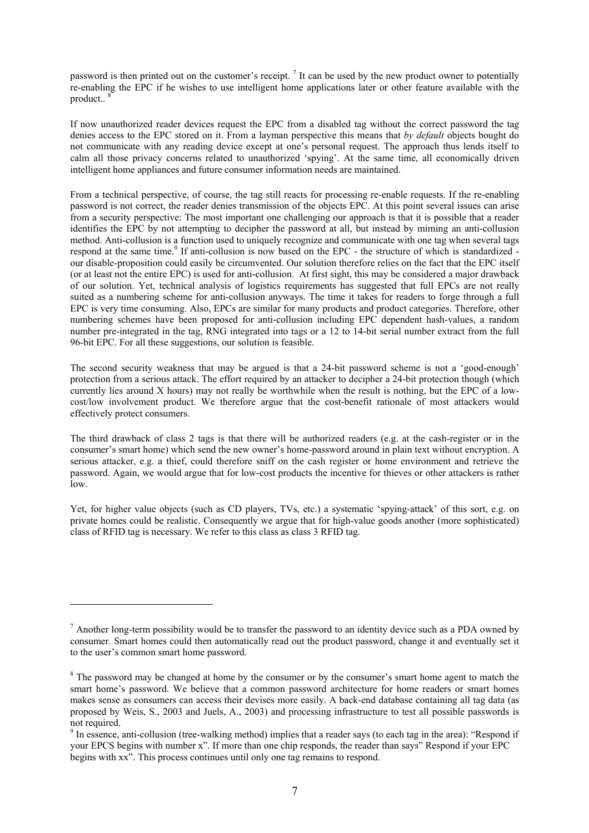password is then printed out on the customer's receipt.  $\frac{7}{1}$  It can be used by the new product owner to potentially re-enabling the EPC if he wishes to use intelligent home applications later or other feature available with the product  $8$ 

If now unauthorized reader devices request the EPC from a disabled tag without the correct password the tag denies access to the EPC stored on it. From a layman perspective this means that *by default* objects bought do not communicate with any reading device except at one's personal request. The approach thus lends itself to calm all those privacy concerns related to unauthorized 'spying'. At the same time, all economically driven intelligent home appliances and future consumer information needs are maintained.

From a technical perspective, of course, the tag still reacts for processing re-enable requests. If the re-enabling password is not correct, the reader denies transmission of the objects EPC. At this point several issues can arise from a security perspective: The most important one challenging our approach is that it is possible that a reader identifies the EPC by not attempting to decipher the password at all, but instead by miming an anti-collusion method. Anti-collusion is a function used to uniquely recognize and communicate with one tag when several tags respond at the same time.<sup>9</sup> If anti-collusion is now based on the EPC - the structure of which is standardized our disable-proposition could easily be circumvented. Our solution therefore relies on the fact that the EPC itself (or at least not the entire EPC) is used for anti-collusion. At first sight, this may be considered a major drawback of our solution. Yet, technical analysis of logistics requirements has suggested that full EPCs are not really suited as a numbering scheme for anti-collusion anyways. The time it takes for readers to forge through a full EPC is very time consuming. Also, EPCs are similar for many products and product categories. Therefore, other numbering schemes have been proposed for anti-collusion including EPC dependent hash-values, a random number pre-integrated in the tag, RNG integrated into tags or a 12 to 14-bit serial number extract from the full 96-bit EPC. For all these suggestions, our solution is feasible.

The second security weakness that may be argued is that a 24-bit password scheme is not a 'good-enough' protection from a serious attack. The effort required by an attacker to decipher a 24-bit protection though (which currently lies around X hours) may not really be worthwhile when the result is nothing, but the EPC of a lowcost/low involvement product. We therefore argue that the cost-benefit rationale of most attackers would effectively protect consumers.

The third drawback of class 2 tags is that there will be authorized readers (e.g. at the cash-register or in the consumer's smart home) which send the new owner's home-password around in plain text without encryption. A serious attacker, e.g. a thief, could therefore sniff on the cash register or home environment and retrieve the password. Again, we would argue that for low-cost products the incentive for thieves or other attackers is rather low.

Yet, for higher value objects (such as CD players, TVs, etc.) a systematic 'spying-attack' of this sort, e.g. on private homes could be realistic. Consequently we argue that for high-value goods another (more sophisticated) class of RFID tag is necessary. We refer to this class as class 3 RFID tag.

 $\overline{a}$ 

 $<sup>7</sup>$  Another long-term possibility would be to transfer the password to an identity device such as a PDA owned by</sup> consumer. Smart homes could then automatically read out the product password, change it and eventually set it to the user's common smart home password.

 $8$  The password may be changed at home by the consumer or by the consumer's smart home agent to match the smart home's password. We believe that a common password architecture for home readers or smart homes makes sense as consumers can access their devises more easily. A back-end database containing all tag data (as proposed by Weis, S., 2003 and Juels, A., 2003) and processing infrastructure to test all possible passwords is not required.

<sup>&</sup>lt;sup>9</sup> In essence, anti-collusion (tree-walking method) implies that a reader says (to each tag in the area): "Respond if your EPCS begins with number x". If more than one chip responds, the reader than says" Respond if your EPC begins with xx". This process continues until only one tag remains to respond.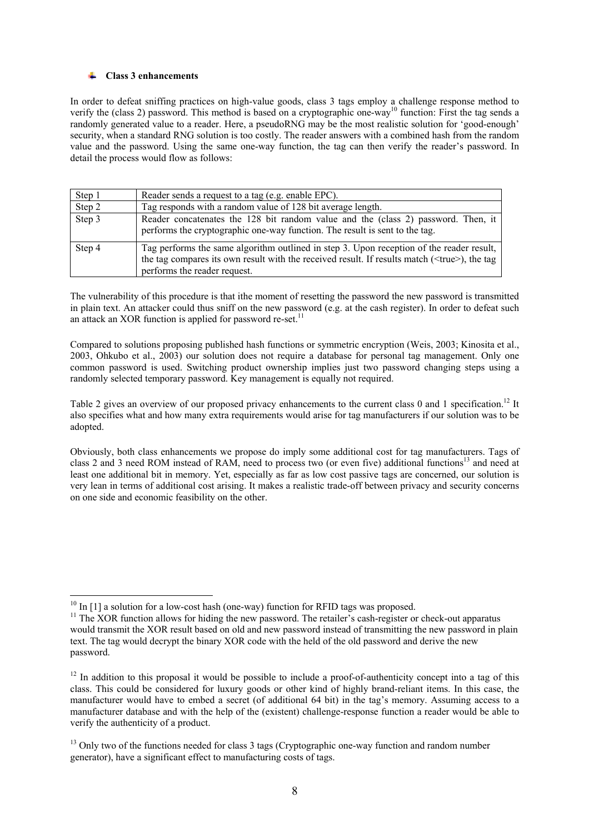#### **Class 3 enhancements**  ÷.

In order to defeat sniffing practices on high-value goods, class 3 tags employ a challenge response method to verify the (class 2) password. This method is based on a cryptographic one-way<sup>10</sup> function: First the tag sends a randomly generated value to a reader. Here, a pseudoRNG may be the most realistic solution for 'good-enough' security, when a standard RNG solution is too costly. The reader answers with a combined hash from the random value and the password. Using the same one-way function, the tag can then verify the reader's password. In detail the process would flow as follows:

| Step 1 | Reader sends a request to a tag (e.g. enable EPC).                                                                                                                                                                                |
|--------|-----------------------------------------------------------------------------------------------------------------------------------------------------------------------------------------------------------------------------------|
| Step 2 | Tag responds with a random value of 128 bit average length.                                                                                                                                                                       |
| Step 3 | Reader concatenates the 128 bit random value and the (class 2) password. Then, it<br>performs the cryptographic one-way function. The result is sent to the tag.                                                                  |
| Step 4 | Tag performs the same algorithm outlined in step 3. Upon reception of the reader result,<br>the tag compares its own result with the received result. If results match ( <true>), the tag<br/>performs the reader request.</true> |

The vulnerability of this procedure is that ithe moment of resetting the password the new password is transmitted in plain text. An attacker could thus sniff on the new password (e.g. at the cash register). In order to defeat such an attack an XOR function is applied for password re-set.<sup>11</sup>

Compared to solutions proposing published hash functions or symmetric encryption (Weis, 2003; Kinosita et al., 2003, Ohkubo et al., 2003) our solution does not require a database for personal tag management. Only one common password is used. Switching product ownership implies just two password changing steps using a randomly selected temporary password. Key management is equally not required.

Table 2 gives an overview of our proposed privacy enhancements to the current class 0 and 1 specification.<sup>12</sup> It also specifies what and how many extra requirements would arise for tag manufacturers if our solution was to be adopted.

Obviously, both class enhancements we propose do imply some additional cost for tag manufacturers. Tags of class 2 and 3 need ROM instead of RAM, need to process two (or even five) additional functions<sup>13</sup> and need at least one additional bit in memory. Yet, especially as far as low cost passive tags are concerned, our solution is very lean in terms of additional cost arising. It makes a realistic trade-off between privacy and security concerns on one side and economic feasibility on the other.

 $\overline{a}$  $10$  In [1] a solution for a low-cost hash (one-way) function for RFID tags was proposed.

<sup>&</sup>lt;sup>11</sup> The XOR function allows for hiding the new password. The retailer's cash-register or check-out apparatus would transmit the XOR result based on old and new password instead of transmitting the new password in plain text. The tag would decrypt the binary XOR code with the held of the old password and derive the new password.

 $12$  In addition to this proposal it would be possible to include a proof-of-authenticity concept into a tag of this class. This could be considered for luxury goods or other kind of highly brand-reliant items. In this case, the manufacturer would have to embed a secret (of additional 64 bit) in the tag's memory. Assuming access to a manufacturer database and with the help of the (existent) challenge-response function a reader would be able to verify the authenticity of a product.

 $<sup>13</sup>$  Only two of the functions needed for class 3 tags (Cryptographic one-way function and random number</sup> generator), have a significant effect to manufacturing costs of tags.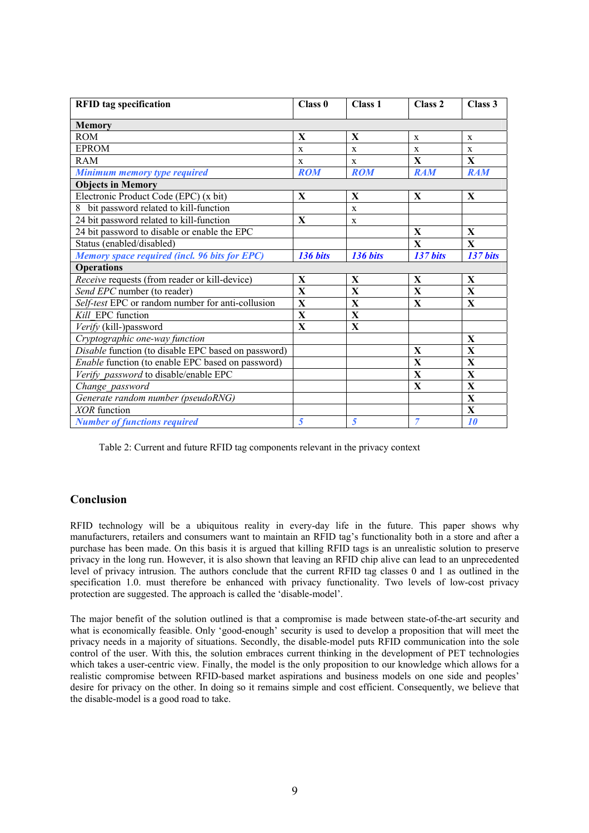| <b>RFID</b> tag specification                              | Class 0      | Class 1      | Class <sub>2</sub> | Class 3      |  |  |  |
|------------------------------------------------------------|--------------|--------------|--------------------|--------------|--|--|--|
| <b>Memory</b>                                              |              |              |                    |              |  |  |  |
| <b>ROM</b>                                                 | X            | X            | X                  | X            |  |  |  |
| <b>EPROM</b>                                               | X            | X            | X                  | $\mathbf{x}$ |  |  |  |
| RAM                                                        | $\mathbf{x}$ | $\mathbf{x}$ | X                  | $\mathbf{X}$ |  |  |  |
| <b>Minimum memory type required</b>                        | <b>ROM</b>   | <b>ROM</b>   | <b>RAM</b>         | <b>RAM</b>   |  |  |  |
| <b>Objects in Memory</b>                                   |              |              |                    |              |  |  |  |
| Electronic Product Code (EPC) (x bit)                      | $\mathbf{X}$ | X            | X                  | X            |  |  |  |
| 8 bit password related to kill-function                    |              | $\mathbf x$  |                    |              |  |  |  |
| 24 bit password related to kill-function                   | $\mathbf{X}$ | X            |                    |              |  |  |  |
| 24 bit password to disable or enable the EPC               |              |              | X                  | $\mathbf{X}$ |  |  |  |
| Status (enabled/disabled)                                  |              |              | X                  | X            |  |  |  |
| <b>Memory space required (incl. 96 bits for EPC)</b>       | 136 bits     | 136 bits     | 137 bits           | 137 bits     |  |  |  |
| <b>Operations</b>                                          |              |              |                    |              |  |  |  |
| Receive requests (from reader or kill-device)              | X            | X            | X                  | X            |  |  |  |
| Send EPC number (to reader)                                | X            | $\mathbf X$  | X                  | X            |  |  |  |
| Self-test EPC or random number for anti-collusion          | X            | $\mathbf{X}$ | $\mathbf{X}$       | X            |  |  |  |
| Kill EPC function                                          | $\mathbf X$  | $\mathbf X$  |                    |              |  |  |  |
| Verify (kill-)password                                     | X            | $\mathbf X$  |                    |              |  |  |  |
| Cryptographic one-way function                             |              |              |                    | X            |  |  |  |
| <i>Disable</i> function (to disable EPC based on password) |              |              | X                  | X            |  |  |  |
| Enable function (to enable EPC based on password)          |              |              | X                  | X            |  |  |  |
| Verify password to disable/enable EPC                      |              |              | $\mathbf{X}$       | $\mathbf{X}$ |  |  |  |
| Change password                                            |              |              | X                  | X            |  |  |  |
| Generate random number (pseudoRNG)                         |              |              |                    | X            |  |  |  |
| XOR function                                               |              |              |                    | X            |  |  |  |
| <b>Number of functions required</b>                        | 5            | 5            | 7                  | 10           |  |  |  |

Table 2: Current and future RFID tag components relevant in the privacy context

# **Conclusion**

RFID technology will be a ubiquitous reality in every-day life in the future. This paper shows why manufacturers, retailers and consumers want to maintain an RFID tag's functionality both in a store and after a purchase has been made. On this basis it is argued that killing RFID tags is an unrealistic solution to preserve privacy in the long run. However, it is also shown that leaving an RFID chip alive can lead to an unprecedented level of privacy intrusion. The authors conclude that the current RFID tag classes 0 and 1 as outlined in the specification 1.0. must therefore be enhanced with privacy functionality. Two levels of low-cost privacy protection are suggested. The approach is called the 'disable-model'.

The major benefit of the solution outlined is that a compromise is made between state-of-the-art security and what is economically feasible. Only 'good-enough' security is used to develop a proposition that will meet the privacy needs in a majority of situations. Secondly, the disable-model puts RFID communication into the sole control of the user. With this, the solution embraces current thinking in the development of PET technologies which takes a user-centric view. Finally, the model is the only proposition to our knowledge which allows for a realistic compromise between RFID-based market aspirations and business models on one side and peoples' desire for privacy on the other. In doing so it remains simple and cost efficient. Consequently, we believe that the disable-model is a good road to take.